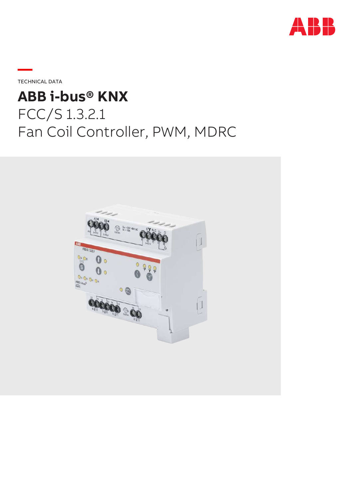

TECHNICAL DATA

**—**

# **ABB i-bus® KNX** FCC/S 1.3.2.1 Fan Coil Controller, PWM, MDRC

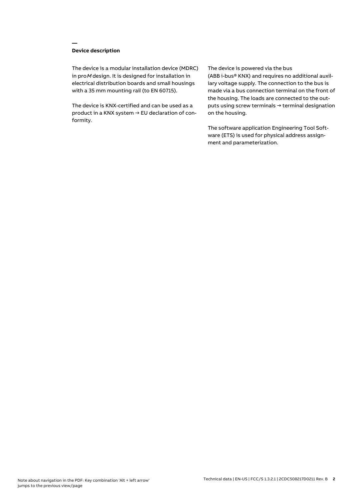# **Device description**

**—**

The device is a modular installation device (MDRC) in proM design. It is designed for installation in electrical distribution boards and small housings with a 35 mm mounting rail (to EN 60715).

The device is KNX-certified and can be used as a product in a KNX system → EU declaration of conformity.

#### The device is powered via the bus

(ABB i-bus® KNX) and requires no additional auxiliary voltage supply. The connection to the bus is made via a bus connection terminal on the front of the housing. The loads are connected to the outputs using screw terminals → terminal designation on the housing.

The software application Engineering Tool Software (ETS) is used for physical address assignment and parameterization.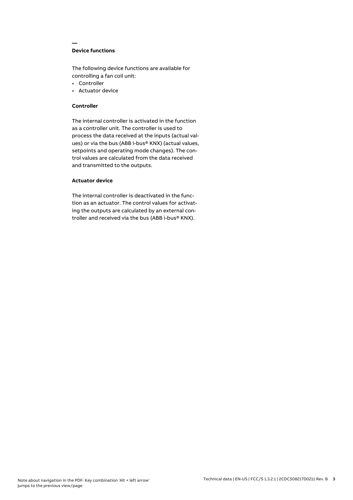# **Device functions**

**—**

The following device functions are available for controlling a fan coil unit:

- Controller
- Actuator device

## **Controller**

The internal controller is activated in the function as a controller unit. The controller is used to process the data received at the inputs (actual values) or via the bus (ABB i-bus® KNX) (actual values, setpoints and operating mode changes). The control values are calculated from the data received and transmitted to the outputs.

# **Actuator device**

The internal controller is deactivated in the function as an actuator. The control values for activating the outputs are calculated by an external controller and received via the bus (ABB i-bus® KNX).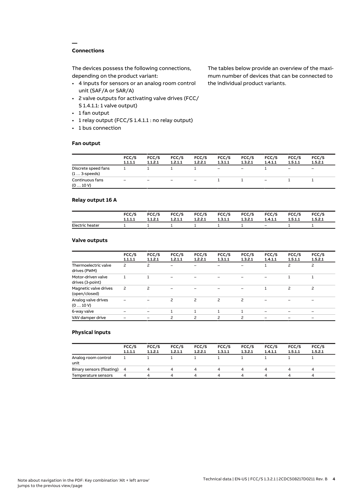# **Connections**

**—**

The devices possess the following connections, depending on the product variant:

- 4 inputs for sensors or an analog room control unit (SAF/A or SAR/A)
- 2 valve outputs for activating valve drives (FCC/ S 1.4.1.1: 1 valve output)
- 1 fan output
- 1 relay output (FCC/S 1.4.1.1 : no relay output)
- 1 bus connection

# **Fan output**

The tables below provide an overview of the maximum number of devices that can be connected to the individual product variants.

|                                               | FCC/S<br>1.1.1.1  | FCC/S<br>1.1.2.1         | FCC/S<br>1.2.1.1  | FCC/S<br>1.2.2.1         | FCC/S<br>1.3.1.1         | FCC/S<br>1.3.2.1         | FCC/S<br>1.4.1.1 | FCC/S<br>1.5.1.1             | FCC/S<br>1.5.2.1         |
|-----------------------------------------------|-------------------|--------------------------|-------------------|--------------------------|--------------------------|--------------------------|------------------|------------------------------|--------------------------|
| Discrete speed fans<br>$(1 \ldots 3$ -speeds) |                   |                          |                   |                          | $\overline{\phantom{a}}$ | $\overline{\phantom{0}}$ |                  | $\qquad \qquad \blacksquare$ | $\overline{\phantom{0}}$ |
| Continuous fans<br>(010V)                     | $\qquad \qquad -$ | $\overline{\phantom{0}}$ | $\qquad \qquad -$ | $\overline{\phantom{a}}$ |                          |                          | -                |                              |                          |

# **Relay output 16 A**

|                 | FCC/S   | FCC/S   | FCC/S   | <b>FCC/S</b> | FCC/S   | <b>FCC/S</b> | FCC/S   | FCC/S   | FCC/S   |
|-----------------|---------|---------|---------|--------------|---------|--------------|---------|---------|---------|
|                 | 1.1.1.1 | 1.1.2.1 | 1.2.1.1 | 1.2.2.1      | 1.3.1.1 | 1.3.2.1      | 1.4.1.1 | 1.5.1.1 | 1.5.2.1 |
| Electric heater |         |         |         |              |         |              | $-$     |         |         |

## **Valve outputs**

| FCC/S | FCC/S                    | FCC/S   | FCC/S         | FCC/S                    | FCC/S   | FCC/S   | FCC/S   | FCC/S<br>1.5.2.1 |
|-------|--------------------------|---------|---------------|--------------------------|---------|---------|---------|------------------|
| 2     | 2                        |         |               |                          |         |         | 2       | $\overline{c}$   |
|       |                          |         |               |                          |         |         |         |                  |
| 2     | $\overline{\phantom{0}}$ |         |               |                          |         |         | 2       | 2                |
|       |                          | ς       | 2             | $\overline{\phantom{0}}$ | 2       |         |         |                  |
|       |                          |         |               |                          |         |         |         |                  |
|       |                          | 2       | $\mathcal{P}$ | $\overline{\phantom{0}}$ | 2       |         |         |                  |
|       | 1.1.1.1                  | 1.1.2.1 | 1.2.1.1       | 1.2.2.1                  | 1.3.1.1 | 1.3.2.1 | 1.4.1.1 | 1.5.1.1          |

### **Physical inputs**

|                             | FCC/S<br>1.1.1.1 | FCC/S<br>1.1.2.1 | FCC/S<br>1.2.1.1 | FCC/S<br>1.2.2.1 | FCC/S<br>1.3.1.1 | FCC/S<br>1.3.2.1 | FCC/S<br>1.4.1.1 | FCC/S<br>1.5.1.1 | FCC/S<br>1.5.2.1 |
|-----------------------------|------------------|------------------|------------------|------------------|------------------|------------------|------------------|------------------|------------------|
| Analog room control<br>unit |                  |                  |                  |                  |                  |                  |                  |                  |                  |
| Binary sensors (floating) 4 |                  |                  | 4                |                  | Δ.               | 4                |                  |                  | 4                |
| Temperature sensors         | 4                | Δ.               | Δ                |                  | Δ.               | 4                |                  | Δ                | 4                |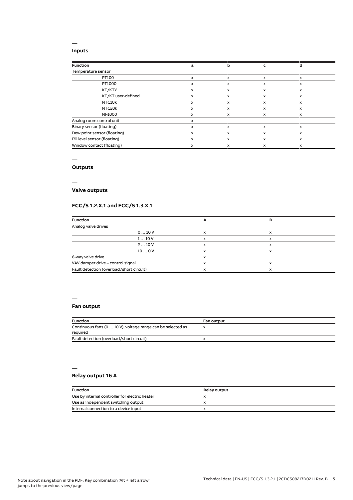### **Inputs**

**—**

| <b>Function</b>              | a | b | c                         |              |
|------------------------------|---|---|---------------------------|--------------|
| Temperature sensor           |   |   |                           |              |
| PT100                        | x | X | $\boldsymbol{\mathsf{x}}$ | $\mathsf{x}$ |
| PT1000                       | x | X | x                         | x            |
| KT/KTY                       | x | x | x                         | x            |
| KT/KT user-defined           | x | x | X                         | $\mathsf{x}$ |
| NTC10k                       | x | x | x                         | x            |
| NTC20k                       | x | x | x                         | x            |
| NI-1000                      | x | x | x                         | x            |
| Analog room control unit     | x |   |                           |              |
| Binary sensor (floating)     | x | X | x                         | $\mathsf{x}$ |
| Dew point sensor (floating)  | x | x | X                         | x            |
| Fill level sensor (floating) | x | X | x                         | $\mathsf{x}$ |
| Window contact (floating)    | x | x | X                         | x            |

#### **—**

# **Outputs**

**—**

# **Valve outputs**

# **FCC/S 1.2.X.1 and FCC/S 1.3.X.1**

| <b>Function</b>                          |   |   |  |
|------------------------------------------|---|---|--|
| Analog valve drives                      |   |   |  |
| 010V                                     | x | x |  |
| 110V                                     | x | x |  |
| 210V                                     | x | x |  |
| 100V                                     |   | x |  |
| 6-way valve drive                        |   |   |  |
| VAV damper drive - control signal        |   | х |  |
| Fault detection (overload/short circuit) |   | x |  |

#### **—**

# **Fan output**

| <b>Function</b>                                                         | <b>Fan output</b> |
|-------------------------------------------------------------------------|-------------------|
| Continuous fans (0  10 V), voltage range can be selected as<br>required |                   |
| Fault detection (overload/short circuit)                                |                   |

# **—**

# **Relay output 16 A**

| Function                                       | <b>Relay output</b> |
|------------------------------------------------|---------------------|
| Use by internal controller for electric heater |                     |
| Use as independent switching output            |                     |
| Internal connection to a device input          |                     |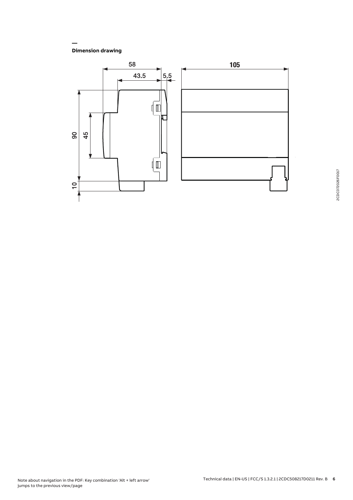**Dimension drawing**

**—**

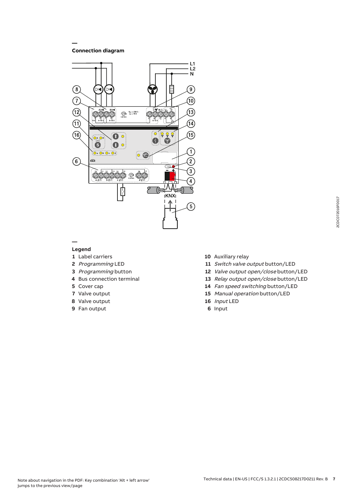**Connection diagram**

**—**



#### **— Legend**

- Label carriers
- Programming LED
- Programming button
- Bus connection terminal
- Cover cap
- Valve output
- Valve output
- Fan output
- Auxiliary relay
- 11 Switch valve output button/LED
- Valve output open/close button/LED
- Relay output open/close button/LED
- Fan speed switching button/LED
- Manual operation button/LED
- Input LED
- Input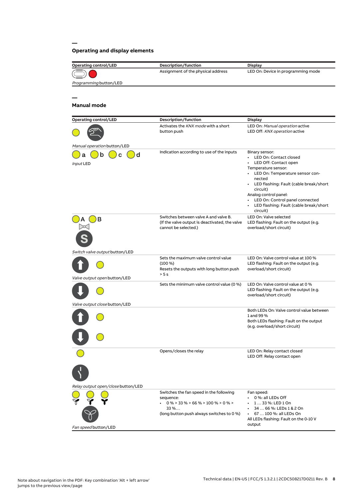# **Operating and display elements**

**—**

| <b>Operating control/LED</b>       | Description/function                                  | <b>Display</b>                                                     |
|------------------------------------|-------------------------------------------------------|--------------------------------------------------------------------|
|                                    | Assignment of the physical address                    | LED On: Device in programming mode                                 |
| Programming button/LED             |                                                       |                                                                    |
|                                    |                                                       |                                                                    |
|                                    |                                                       |                                                                    |
| <b>Manual mode</b>                 |                                                       |                                                                    |
|                                    |                                                       |                                                                    |
| <b>Operating control/LED</b>       | Description/function                                  | <b>Display</b>                                                     |
|                                    | Activates the KNX mode with a short                   | LED On: Manual operation active                                    |
|                                    | button push                                           | LED Off: KNX operation active                                      |
| Manual operation button/LED        |                                                       |                                                                    |
| d                                  | Indication according to use of the inputs             | Binary sensor:                                                     |
|                                    |                                                       | • LED On: Contact closed                                           |
| Input LED                          |                                                       | LED Off: Contact open<br>Temperature sensor:                       |
|                                    |                                                       | • LED On: Temperature sensor con-                                  |
|                                    |                                                       | nected                                                             |
|                                    |                                                       | • LED flashing: Fault (cable break/short<br>circuit)               |
|                                    |                                                       | Analog control panel:                                              |
|                                    |                                                       | LED On: Control panel connected<br>$\bullet$                       |
|                                    |                                                       | LED flashing: Fault (cable break/short<br>circuit)                 |
| в                                  | Switches between valve A and valve B.                 | LED On: Valve selected                                             |
|                                    | (If the valve output is deactivated, the valve        | LED flashing: Fault on the output (e.g.                            |
|                                    | cannot be selected.)                                  | overload/short circuit)                                            |
|                                    |                                                       |                                                                    |
|                                    |                                                       |                                                                    |
| Switch valve output button/LED     |                                                       |                                                                    |
|                                    | Sets the maximum valve control value                  | LED On: Valve control value at 100 %                               |
|                                    | $(100\%)$<br>Resets the outputs with long button push | LED flashing: Fault on the output (e.g.<br>overload/short circuit) |
|                                    | > 5s                                                  |                                                                    |
| Valve output open button/LED       | Sets the minimum valve control value (0 %)            | LED On: Valve control value at 0 %                                 |
|                                    |                                                       | LED flashing: Fault on the output (e.g.                            |
|                                    |                                                       | overload/short circuit)                                            |
| Valve output close button/LED      |                                                       |                                                                    |
|                                    |                                                       | Both LEDs On: Valve control value between                          |
|                                    |                                                       | 1 and 99 %<br>Both LEDs flashing: Fault on the output              |
|                                    |                                                       | (e.g. overload/short circuit)                                      |
|                                    |                                                       |                                                                    |
|                                    |                                                       |                                                                    |
|                                    | Opens/closes the relay                                | LED On: Relay contact closed                                       |
|                                    |                                                       | LED Off: Relay contact open                                        |
|                                    |                                                       |                                                                    |
|                                    |                                                       |                                                                    |
|                                    |                                                       |                                                                    |
| Relay output open/close button/LED |                                                       |                                                                    |
|                                    | Switches the fan speed in the following               | Fan speed:                                                         |
|                                    | sequence:<br>$0\%$ > 33 % > 66 % > 100 % > 0 % >      | 0 %: all LEDs Off<br>$\cdot$ 1 33 %: LED 1 On                      |
|                                    | 33%                                                   | 34  66 %: LEDs 1 & 2 On                                            |
|                                    | (long button push always switches to 0 %)             | 67  100 %: all LEDs On                                             |
|                                    |                                                       | All LEDs flashing: Fault on the 0-10 V<br>output                   |
| Fan speed button/LED               |                                                       |                                                                    |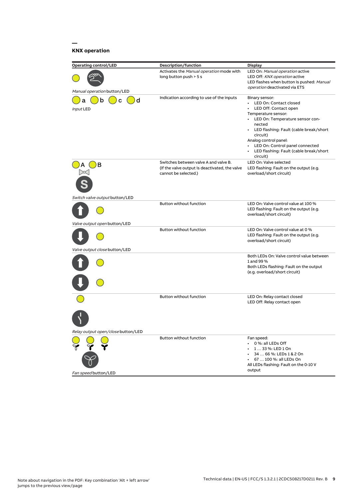# **KNX operation**

**—**

| <b>Operating control/LED</b>                                   | Description/function                                                                                            | <b>Display</b>                                                                                                                                                                                                                                                                                                          |
|----------------------------------------------------------------|-----------------------------------------------------------------------------------------------------------------|-------------------------------------------------------------------------------------------------------------------------------------------------------------------------------------------------------------------------------------------------------------------------------------------------------------------------|
| Manual operation button/LED                                    | Activates the Manual operation mode with<br>long button push > 5 s                                              | LED On: Manual operation active<br>LED Off: KNX operation active<br>LED flashes when button is pushed: Manual<br>operation deactivated via ETS                                                                                                                                                                          |
| d<br>b<br>С<br>а<br>Input LED                                  | Indication according to use of the inputs                                                                       | Binary sensor:<br>• LED On: Contact closed<br>LED Off: Contact open<br>Temperature sensor:<br>• LED On: Temperature sensor con-<br>nected<br>• LED flashing: Fault (cable break/short<br>circuit)<br>Analog control panel:<br>• LED On: Control panel connected<br>• LED flashing: Fault (cable break/short<br>circuit) |
| в                                                              | Switches between valve A and valve B.<br>(If the valve output is deactivated, the valve<br>cannot be selected.) | LED On: Valve selected<br>LED flashing: Fault on the output (e.g.<br>overload/short circuit)                                                                                                                                                                                                                            |
| Switch valve output button/LED<br>Valve output open button/LED | <b>Button without function</b>                                                                                  | LED On: Valve control value at 100 %<br>LED flashing: Fault on the output (e.g.<br>overload/short circuit)                                                                                                                                                                                                              |
| Valve output close button/LED                                  | Button without function                                                                                         | LED On: Valve control value at 0 %<br>LED flashing: Fault on the output (e.g.<br>overload/short circuit)                                                                                                                                                                                                                |
|                                                                |                                                                                                                 | Both LEDs On: Valve control value between<br>1 and 99 %<br>Both LEDs flashing: Fault on the output<br>(e.g. overload/short circuit)                                                                                                                                                                                     |
| Relay output open/close button/LED                             | Button without function                                                                                         | LED On: Relay contact closed<br>LED Off: Relay contact open                                                                                                                                                                                                                                                             |
| Fan speed button/LED                                           | Button without function                                                                                         | Fan speed:<br>0 %: all LEDs Off<br>1  33 %: LED 1 On<br>34  66 %: LEDs 1 & 2 On<br>67  100 %: all LEDs On<br>All LEDs flashing: Fault on the 0-10 V<br>output                                                                                                                                                           |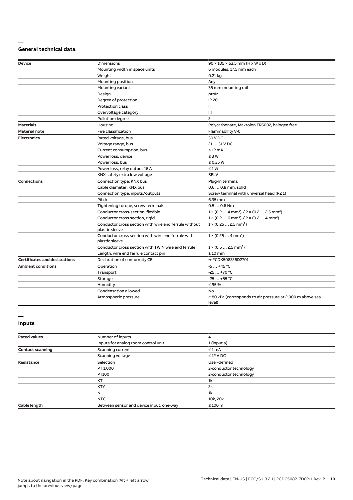#### **— General technical data**

| <b>Device</b>                        | <b>Dimensions</b>                                                       | $90 \times 105 \times 63.5$ mm (H x W x D)                                      |
|--------------------------------------|-------------------------------------------------------------------------|---------------------------------------------------------------------------------|
|                                      | Mounting width in space units                                           | 6 modules, 17.5 mm each                                                         |
|                                      | Weight                                                                  | $0.21$ kg                                                                       |
|                                      | Mounting position                                                       | Any                                                                             |
|                                      | Mounting variant                                                        | 35 mm mounting rail                                                             |
|                                      | Design                                                                  | proM                                                                            |
|                                      | Degree of protection                                                    | <b>IP 20</b>                                                                    |
|                                      | <b>Protection class</b>                                                 | Ш                                                                               |
|                                      | Overvoltage category                                                    | Ш                                                                               |
|                                      | Pollution degree                                                        | $\overline{c}$                                                                  |
| <b>Materials</b>                     | Housing                                                                 | Polycarbonate, Makrolon FR6002, halogen free                                    |
| <b>Material note</b>                 | Fire classification                                                     | Flammability V-0                                                                |
| <b>Electronics</b>                   | Rated voltage, bus                                                      | 30 V DC                                                                         |
|                                      | Voltage range, bus                                                      | 21  31 V DC                                                                     |
|                                      | Current consumption, bus                                                | < 12 mA                                                                         |
|                                      | Power loss, device                                                      | $\leq 3 W$                                                                      |
|                                      | Power loss, bus                                                         | $\leq$ 0.25 W                                                                   |
|                                      | Power loss, relay output 16 A                                           | $\leq 1 W$                                                                      |
|                                      | KNX safety extra low voltage                                            | <b>SELV</b>                                                                     |
| <b>Connections</b>                   | Connection type, KNX bus                                                | Plug-in terminal                                                                |
|                                      | Cable diameter, KNX bus                                                 | 0.6  0.8 mm, solid                                                              |
|                                      | Connection type, inputs/outputs                                         | Screw terminal with universal head (PZ 1)                                       |
|                                      | Pitch                                                                   | 6.35 mm                                                                         |
|                                      | Tightening torque, screw terminals                                      | $0.50.6$ Nm                                                                     |
|                                      | Conductor cross-section, flexible                                       | $1 \times (0.2 \ldots 4 \text{ mm}^2) / 2 \times (0.2 \ldots 2.5 \text{ mm}^2)$ |
|                                      | Conductor cross section, rigid                                          | $1 \times (0.2 \ldots 6 \text{ mm}^2) / 2 \times (0.2 \ldots 4 \text{ mm}^2)$   |
|                                      | Conductor cross section with wire end ferrule without<br>plastic sleeve | $1 \times (0.252.5 \text{ mm}^2)$                                               |
|                                      | Conductor cross section with wire end ferrule with<br>plastic sleeve    | $1 \times (0.254 \text{ mm}^2)$                                                 |
|                                      | Conductor cross section with TWIN wire end ferrule                      | $1 \times (0.52.5 \text{ mm}^2)$                                                |
|                                      | Length, wire end ferrule contact pin                                    | $\geq 10$ mm                                                                    |
| <b>Certificates and declarations</b> | Declaration of conformity CE                                            | → 2CDK508226D2701                                                               |
| <b>Ambient conditions</b>            | Operation                                                               | $-5+45$ °C                                                                      |
|                                      | Transport                                                               | $-25+70 °C$                                                                     |
|                                      | Storage                                                                 | $-25+55$ °C                                                                     |
|                                      | Humidity                                                                | $\leq$ 95 %                                                                     |
|                                      | Condensation allowed                                                    | <b>No</b>                                                                       |
|                                      | Atmospheric pressure                                                    | $\geq$ 80 kPa (corresponds to air pressure at 2,000 m above sea<br>level)       |

#### **— Inputs**

| <b>Rated values</b>     | Number of inputs                         | 4                      |
|-------------------------|------------------------------------------|------------------------|
|                         | Inputs for analog room control unit      | 1 (input a)            |
| <b>Contact scanning</b> | Scanning current                         | $\leq 1$ mA            |
|                         | Scanning voltage                         | $\leq$ 12 V DC         |
| Resistance              | Selection                                | User-defined           |
|                         | PT 1.000                                 | 2-conductor technology |
|                         | PT100                                    | 2-conductor technology |
|                         | <b>KT</b>                                | 1 <sup>k</sup>         |
|                         | <b>KTY</b>                               | 2k                     |
|                         | <b>NI</b>                                | 1k                     |
|                         | NTC                                      | 10k, 20k               |
| Cable length            | Between sensor and device input, one-way | $\leq 100$ m           |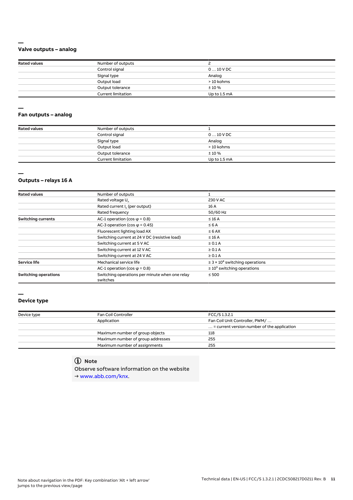## **Valve outputs – analog**

| <b>Rated values</b> | Number of outputs         |              |  |
|---------------------|---------------------------|--------------|--|
|                     | Control signal            | $010$ V DC   |  |
|                     | Signal type               | Analog       |  |
|                     | Output load               | > 10 kohms   |  |
|                     | Output tolerance          | ±10%         |  |
|                     | <b>Current limitation</b> | Up to 1.5 mA |  |

#### **— Fan outputs – analog**

| <b>Rated values</b> | Number of outputs         |              |
|---------------------|---------------------------|--------------|
|                     | Control signal            | $010$ V DC   |
|                     | Signal type               | Analog       |
|                     | Output load               | > 10 kohms   |
|                     | Output tolerance          | ±10%         |
|                     | <b>Current limitation</b> | Up to 1.5 mA |

## **—**

**—**

# **Outputs – relays 16 A**

| <b>Rated values</b>         | Number of outputs                                          |                                                 |  |
|-----------------------------|------------------------------------------------------------|-------------------------------------------------|--|
|                             | Rated voltage U.                                           | 230 V AC                                        |  |
|                             | Rated current I <sub>n</sub> (per output)                  | 16 A                                            |  |
|                             | Rated frequency                                            | 50/60 Hz                                        |  |
| <b>Switching currents</b>   | AC-1 operation (cos $\varphi$ = 0.8)                       | $\leq 16$ A                                     |  |
|                             | AC-3 operation (cos $\varphi$ = 0.45)                      | $\leq 6$ A                                      |  |
|                             | Fluorescent lighting load AX<br>$\leq 6$ AX                |                                                 |  |
|                             | Switching current at 24 V DC (resistive load)              | $\leq 16$ A                                     |  |
|                             | Switching current at 5 V AC                                | $\geq 0.1$ A                                    |  |
|                             | Switching current at 12 V AC                               | $\geq 0.1$ A                                    |  |
|                             | Switching current at 24 V AC                               | $\geq 0.1$ A                                    |  |
| <b>Service life</b>         | Mechanical service life                                    | $\geq$ 3 × 10 <sup>6</sup> switching operations |  |
|                             | AC-1 operation (cos $\varphi$ = 0.8)                       | $\geq 10^5$ switching operations                |  |
| <b>Switching operations</b> | Switching operations per minute when one relay<br>switches | $\leq 500$                                      |  |

## **—**

# **Device type**

| Device type | Fan Coil Controller               | FCC/S 1.3.2.1                                        |
|-------------|-----------------------------------|------------------------------------------------------|
|             | Application                       | Fan Coil Unit Controller, PWM/                       |
|             |                                   | $\ldots$ = current version number of the application |
|             | Maximum number of group objects   | 118                                                  |
|             | Maximum number of group addresses | 255                                                  |
|             | Maximum number of assignments     | 255                                                  |

# **Note**

Observe software information on the website → www.abb.com/knx.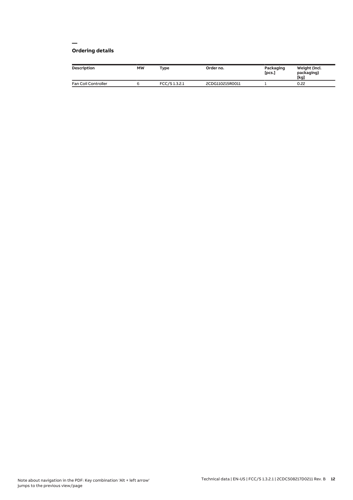#### **— Ordering details**

| <b>Description</b>  | <b>MW</b> | Type         | Order no.       | Packaging<br>[pcs.] | Weight (incl.<br>packaging)<br>[kg] |
|---------------------|-----------|--------------|-----------------|---------------------|-------------------------------------|
| Fan Coil Controller |           | FCC/S1.3.2.1 | 2CDG110215R0011 |                     | 0.22                                |